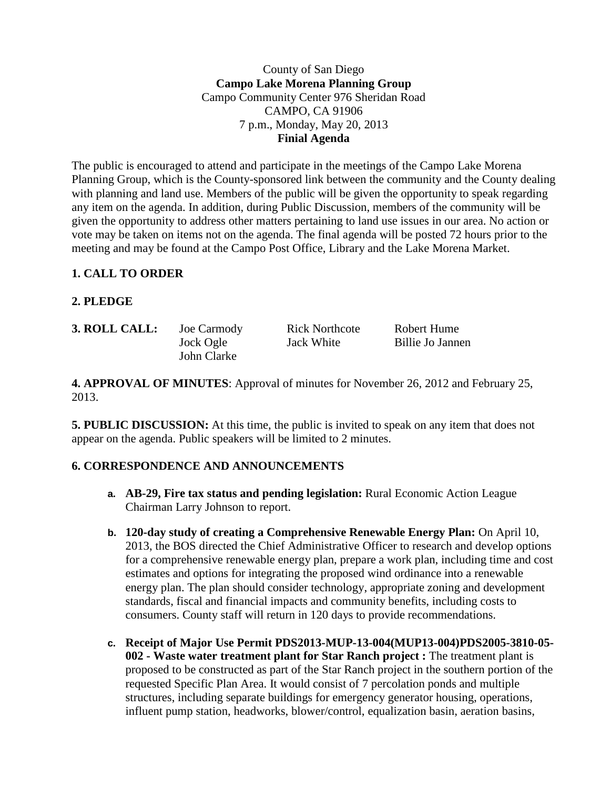County of San Diego **Campo Lake Morena Planning Group** Campo Community Center 976 Sheridan Road CAMPO, CA 91906 7 p.m., Monday, May 20, 2013 **Finial Agenda**

The public is encouraged to attend and participate in the meetings of the Campo Lake Morena Planning Group, which is the County-sponsored link between the community and the County dealing with planning and land use. Members of the public will be given the opportunity to speak regarding any item on the agenda. In addition, during Public Discussion, members of the community will be given the opportunity to address other matters pertaining to land use issues in our area. No action or vote may be taken on items not on the agenda. The final agenda will be posted 72 hours prior to the meeting and may be found at the Campo Post Office, Library and the Lake Morena Market.

# **1. CALL TO ORDER**

# **2. PLEDGE**

| 3. ROLL CALL: | Joe Carmody | <b>Rick Northcote</b> | Robert Hume      |
|---------------|-------------|-----------------------|------------------|
|               | Jock Ogle   | <b>Jack White</b>     | Billie Jo Jannen |
|               | John Clarke |                       |                  |

**4. APPROVAL OF MINUTES**: Approval of minutes for November 26, 2012 and February 25, 2013.

**5. PUBLIC DISCUSSION:** At this time, the public is invited to speak on any item that does not appear on the agenda. Public speakers will be limited to 2 minutes.

### **6. CORRESPONDENCE AND ANNOUNCEMENTS**

- **a. AB-29, Fire tax status and pending legislation:** Rural Economic Action League Chairman Larry Johnson to report.
- **b. 120-day study of creating a Comprehensive Renewable Energy Plan:** On April 10, 2013, the BOS directed the Chief Administrative Officer to research and develop options for a comprehensive renewable energy plan, prepare a work plan, including time and cost estimates and options for integrating the proposed wind ordinance into a renewable energy plan. The plan should consider technology, appropriate zoning and development standards, fiscal and financial impacts and community benefits, including costs to consumers. County staff will return in 120 days to provide recommendations.
- **c. Receipt of Major Use Permit PDS2013-MUP-13-004(MUP13-004)PDS2005-3810-05- 002 - Waste water treatment plant for Star Ranch project :** The treatment plant is proposed to be constructed as part of the Star Ranch project in the southern portion of the requested Specific Plan Area. It would consist of 7 percolation ponds and multiple structures, including separate buildings for emergency generator housing, operations, influent pump station, headworks, blower/control, equalization basin, aeration basins,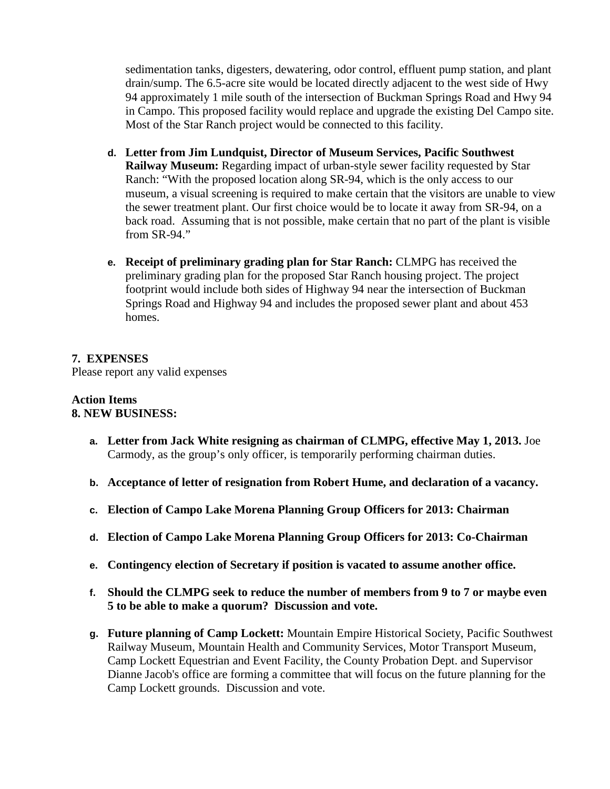sedimentation tanks, digesters, dewatering, odor control, effluent pump station, and plant drain/sump. The 6.5-acre site would be located directly adjacent to the west side of Hwy 94 approximately 1 mile south of the intersection of Buckman Springs Road and Hwy 94 in Campo. This proposed facility would replace and upgrade the existing Del Campo site. Most of the Star Ranch project would be connected to this facility.

- **d. Letter from Jim Lundquist, Director of Museum Services, Pacific Southwest Railway Museum:** Regarding impact of urban-style sewer facility requested by Star Ranch: "With the proposed location along SR-94, which is the only access to our museum, a visual screening is required to make certain that the visitors are unable to view the sewer treatment plant. Our first choice would be to locate it away from SR-94, on a back road. Assuming that is not possible, make certain that no part of the plant is visible from SR-94."
- **e. Receipt of preliminary grading plan for Star Ranch:** CLMPG has received the preliminary grading plan for the proposed Star Ranch housing project. The project footprint would include both sides of Highway 94 near the intersection of Buckman Springs Road and Highway 94 and includes the proposed sewer plant and about 453 homes.

### **7. EXPENSES** Please report any valid expenses

#### **Action Items 8. NEW BUSINESS:**

- **a. Letter from Jack White resigning as chairman of CLMPG, effective May 1, 2013.** Joe Carmody, as the group's only officer, is temporarily performing chairman duties.
- **b. Acceptance of letter of resignation from Robert Hume, and declaration of a vacancy.**
- **c. Election of Campo Lake Morena Planning Group Officers for 2013: Chairman**
- **d. Election of Campo Lake Morena Planning Group Officers for 2013: Co-Chairman**
- **e. Contingency election of Secretary if position is vacated to assume another office.**
- **f. Should the CLMPG seek to reduce the number of members from 9 to 7 or maybe even 5 to be able to make a quorum? Discussion and vote.**
- **g. Future planning of Camp Lockett:** Mountain Empire Historical Society, Pacific Southwest Railway Museum, Mountain Health and Community Services, Motor Transport Museum, Camp Lockett Equestrian and Event Facility, the County Probation Dept. and Supervisor Dianne Jacob's office are forming a committee that will focus on the future planning for the Camp Lockett grounds. Discussion and vote.